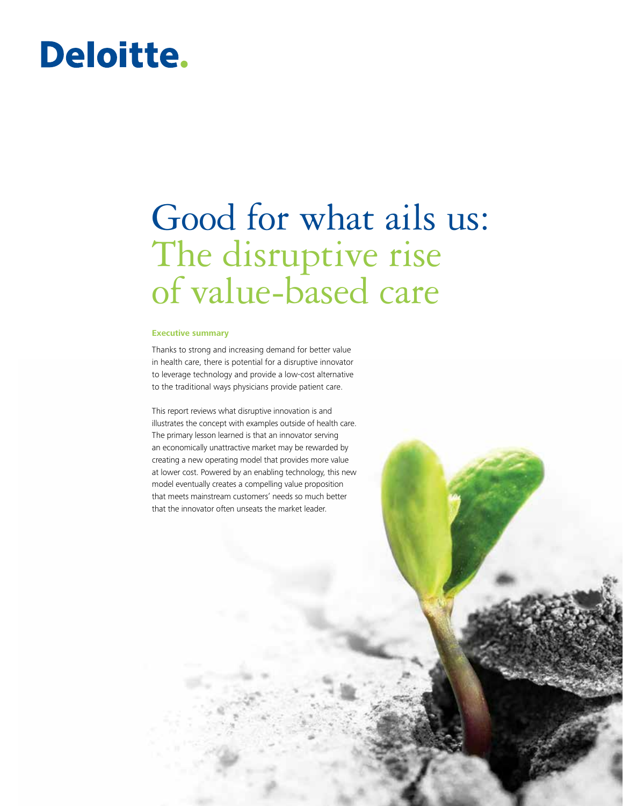# **Deloitte.**

# Good for what ails us: The disruptive rise of value-based care

#### **Executive summary**

Thanks to strong and increasing demand for better value in health care, there is potential for a disruptive innovator to leverage technology and provide a low-cost alternative to the traditional ways physicians provide patient care.

This report reviews what disruptive innovation is and illustrates the concept with examples outside of health care. The primary lesson learned is that an innovator serving an economically unattractive market may be rewarded by creating a new operating model that provides more value at lower cost. Powered by an enabling technology, this new model eventually creates a compelling value proposition that meets mainstream customers' needs so much better that the innovator often unseats the market leader.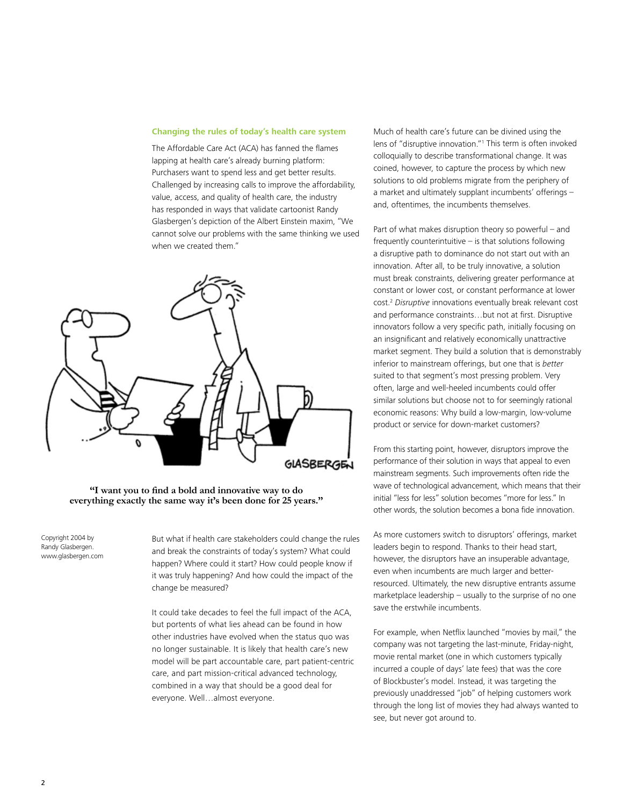#### **Changing the rules of today's health care system**

The Affordable Care Act (ACA) has fanned the flames lapping at health care's already burning platform: Purchasers want to spend less and get better results. Challenged by increasing calls to improve the affordability, value, access, and quality of health care, the industry has responded in ways that validate cartoonist Randy Glasbergen's depiction of the Albert Einstein maxim, "We cannot solve our problems with the same thinking we used when we created them."



**"I want you to find a bold and innovative way to do everything exactly the same way it's been done for 25 years."**

Copyright 2004 by Randy Glasbergen. www.glasbergen.com But what if health care stakeholders could change the rules and break the constraints of today's system? What could happen? Where could it start? How could people know if it was truly happening? And how could the impact of the change be measured?

It could take decades to feel the full impact of the ACA, but portents of what lies ahead can be found in how other industries have evolved when the status quo was no longer sustainable. It is likely that health care's new model will be part accountable care, part patient-centric care, and part mission-critical advanced technology, combined in a way that should be a good deal for everyone. Well…almost everyone.

Much of health care's future can be divined using the lens of "disruptive innovation."1 This term is often invoked colloquially to describe transformational change. It was coined, however, to capture the process by which new solutions to old problems migrate from the periphery of a market and ultimately supplant incumbents' offerings – and, oftentimes, the incumbents themselves.

Part of what makes disruption theory so powerful – and frequently counterintuitive – is that solutions following a disruptive path to dominance do not start out with an innovation. After all, to be truly innovative, a solution must break constraints, delivering greater performance at constant or lower cost, or constant performance at lower cost.2 *Disruptive* innovations eventually break relevant cost and performance constraints…but not at first. Disruptive innovators follow a very specific path, initially focusing on an insignificant and relatively economically unattractive market segment. They build a solution that is demonstrably inferior to mainstream offerings, but one that is *better* suited to that segment's most pressing problem. Very often, large and well-heeled incumbents could offer similar solutions but choose not to for seemingly rational economic reasons: Why build a low-margin, low-volume product or service for down-market customers?

From this starting point, however, disruptors improve the performance of their solution in ways that appeal to even mainstream segments. Such improvements often ride the wave of technological advancement, which means that their initial "less for less" solution becomes "more for less." In other words, the solution becomes a bona fide innovation.

As more customers switch to disruptors' offerings, market leaders begin to respond. Thanks to their head start, however, the disruptors have an insuperable advantage, even when incumbents are much larger and betterresourced. Ultimately, the new disruptive entrants assume marketplace leadership – usually to the surprise of no one save the erstwhile incumbents.

For example, when Netflix launched "movies by mail," the company was not targeting the last-minute, Friday-night, movie rental market (one in which customers typically incurred a couple of days' late fees) that was the core of Blockbuster's model. Instead, it was targeting the previously unaddressed "job" of helping customers work through the long list of movies they had always wanted to see, but never got around to.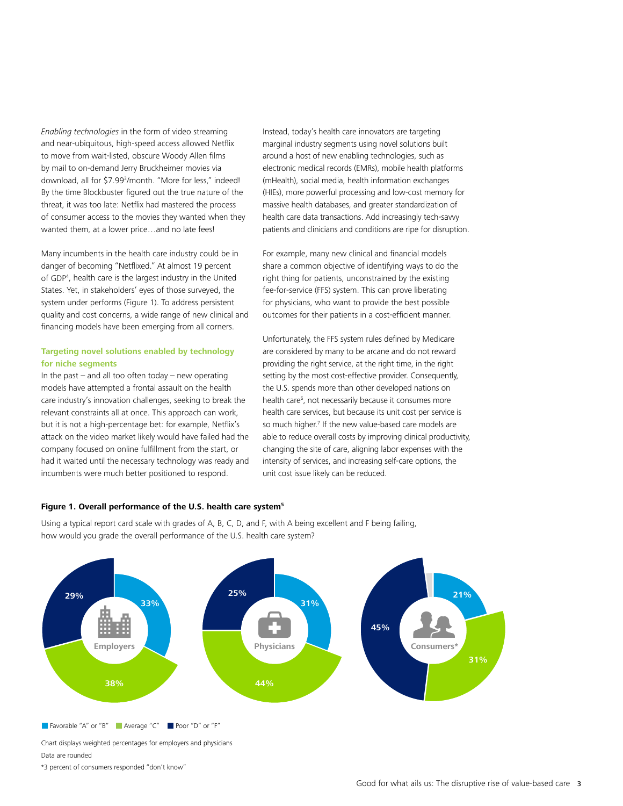*Enabling technologies* in the form of video streaming and near-ubiquitous, high-speed access allowed Netflix to move from wait-listed, obscure Woody Allen films by mail to on-demand Jerry Bruckheimer movies via download, all for \$7.993 /month. "More for less," indeed! By the time Blockbuster figured out the true nature of the threat, it was too late: Netflix had mastered the process of consumer access to the movies they wanted when they wanted them, at a lower price…and no late fees!

Many incumbents in the health care industry could be in danger of becoming "Netflixed." At almost 19 percent of GDP4 , health care is the largest industry in the United States. Yet, in stakeholders' eyes of those surveyed, the system under performs (Figure 1). To address persistent quality and cost concerns, a wide range of new clinical and financing models have been emerging from all corners.

#### **Targeting novel solutions enabled by technology for niche segments**

In the past  $-$  and all too often today  $-$  new operating models have attempted a frontal assault on the health care industry's innovation challenges, seeking to break the relevant constraints all at once. This approach can work, but it is not a high-percentage bet: for example, Netflix's attack on the video market likely would have failed had the company focused on online fulfillment from the start, or had it waited until the necessary technology was ready and incumbents were much better positioned to respond.

Instead, today's health care innovators are targeting marginal industry segments using novel solutions built around a host of new enabling technologies, such as electronic medical records (EMRs), mobile health platforms (mHealth), social media, health information exchanges (HIEs), more powerful processing and low-cost memory for massive health databases, and greater standardization of health care data transactions. Add increasingly tech-savvy patients and clinicians and conditions are ripe for disruption.

For example, many new clinical and financial models share a common objective of identifying ways to do the right thing for patients, unconstrained by the existing fee-for-service (FFS) system. This can prove liberating for physicians, who want to provide the best possible outcomes for their patients in a cost-efficient manner.

Unfortunately, the FFS system rules defined by Medicare are considered by many to be arcane and do not reward providing the right service, at the right time, in the right setting by the most cost-effective provider. Consequently, the U.S. spends more than other developed nations on health care<sup>6</sup>, not necessarily because it consumes more health care services, but because its unit cost per service is so much higher.<sup>7</sup> If the new value-based care models are able to reduce overall costs by improving clinical productivity, changing the site of care, aligning labor expenses with the intensity of services, and increasing self-care options, the unit cost issue likely can be reduced.

#### **Figure 1. Overall performance of the U.S. health care system5**

Using a typical report card scale with grades of A, B, C, D, and F, with A being excellent and F being failing, how would you grade the overall performance of the U.S. health care system?



Chart displays weighted percentages for employers and physicians Data are rounded

\*3 percent of consumers responded "don't know"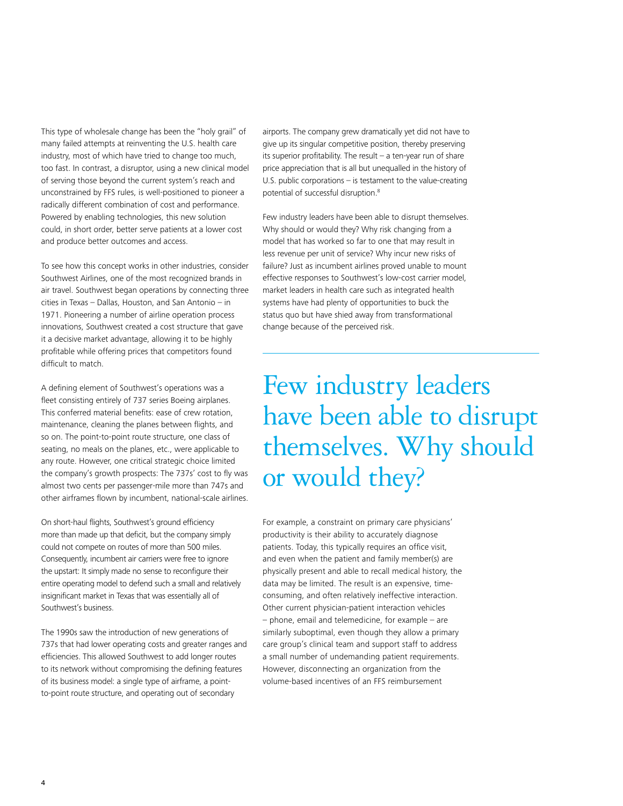This type of wholesale change has been the "holy grail" of many failed attempts at reinventing the U.S. health care industry, most of which have tried to change too much, too fast. In contrast, a disruptor, using a new clinical model of serving those beyond the current system's reach and unconstrained by FFS rules, is well-positioned to pioneer a radically different combination of cost and performance. Powered by enabling technologies, this new solution could, in short order, better serve patients at a lower cost and produce better outcomes and access.

To see how this concept works in other industries, consider Southwest Airlines, one of the most recognized brands in air travel. Southwest began operations by connecting three cities in Texas – Dallas, Houston, and San Antonio – in 1971. Pioneering a number of airline operation process innovations, Southwest created a cost structure that gave it a decisive market advantage, allowing it to be highly profitable while offering prices that competitors found difficult to match.

A defining element of Southwest's operations was a fleet consisting entirely of 737 series Boeing airplanes. This conferred material benefits: ease of crew rotation, maintenance, cleaning the planes between flights, and so on. The point-to-point route structure, one class of seating, no meals on the planes, etc., were applicable to any route. However, one critical strategic choice limited the company's growth prospects: The 737s' cost to fly was almost two cents per passenger-mile more than 747s and other airframes flown by incumbent, national-scale airlines.

On short-haul flights, Southwest's ground efficiency more than made up that deficit, but the company simply could not compete on routes of more than 500 miles. Consequently, incumbent air carriers were free to ignore the upstart: It simply made no sense to reconfigure their entire operating model to defend such a small and relatively insignificant market in Texas that was essentially all of Southwest's business.

The 1990s saw the introduction of new generations of 737s that had lower operating costs and greater ranges and efficiencies. This allowed Southwest to add longer routes to its network without compromising the defining features of its business model: a single type of airframe, a pointto-point route structure, and operating out of secondary

airports. The company grew dramatically yet did not have to give up its singular competitive position, thereby preserving its superior profitability. The result – a ten-year run of share price appreciation that is all but unequalled in the history of U.S. public corporations – is testament to the value-creating potential of successful disruption.8

Few industry leaders have been able to disrupt themselves. Why should or would they? Why risk changing from a model that has worked so far to one that may result in less revenue per unit of service? Why incur new risks of failure? Just as incumbent airlines proved unable to mount effective responses to Southwest's low-cost carrier model, market leaders in health care such as integrated health systems have had plenty of opportunities to buck the status quo but have shied away from transformational change because of the perceived risk.

Few industry leaders have been able to disrupt themselves. Why should or would they?

For example, a constraint on primary care physicians' productivity is their ability to accurately diagnose patients. Today, this typically requires an office visit, and even when the patient and family member(s) are physically present and able to recall medical history, the data may be limited. The result is an expensive, timeconsuming, and often relatively ineffective interaction. Other current physician-patient interaction vehicles – phone, email and telemedicine, for example – are similarly suboptimal, even though they allow a primary care group's clinical team and support staff to address a small number of undemanding patient requirements. However, disconnecting an organization from the volume-based incentives of an FFS reimbursement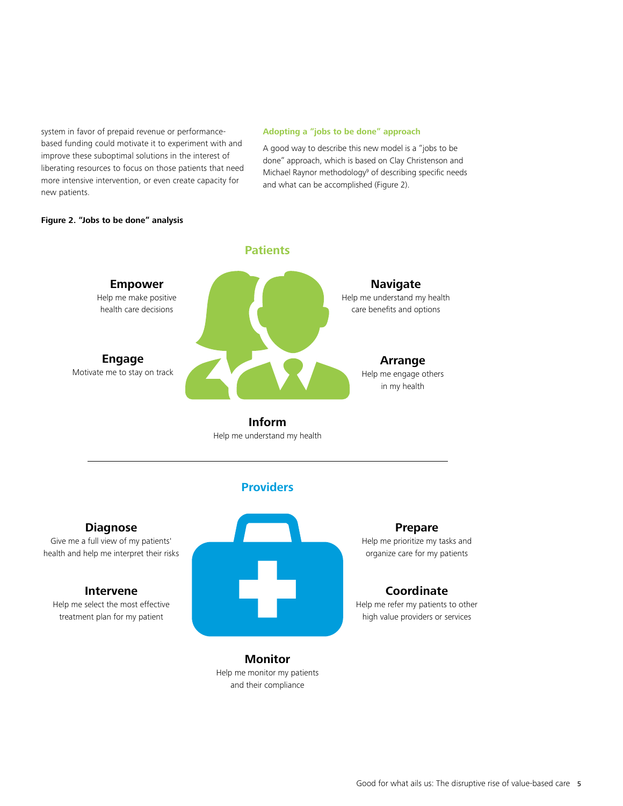system in favor of prepaid revenue or performancebased funding could motivate it to experiment with and improve these suboptimal solutions in the interest of liberating resources to focus on those patients that need more intensive intervention, or even create capacity for new patients.

#### **Adopting a "jobs to be done" approach**

A good way to describe this new model is a "jobs to be done" approach, which is based on Clay Christenson and Michael Raynor methodology<sup>9</sup> of describing specific needs and what can be accomplished (Figure 2).

#### **Figure 2. "Jobs to be done" analysis**



**Inform** Help me understand my health

# **Providers**

### **Diagnose**

Give me a full view of my patients' health and help me interpret their risks

#### **Intervene**

Help me select the most effective treatment plan for my patient

### **Prepare**

Help me prioritize my tasks and organize care for my patients

## **Coordinate**

Help me refer my patients to other high value providers or services

**Monitor** Help me monitor my patients and their compliance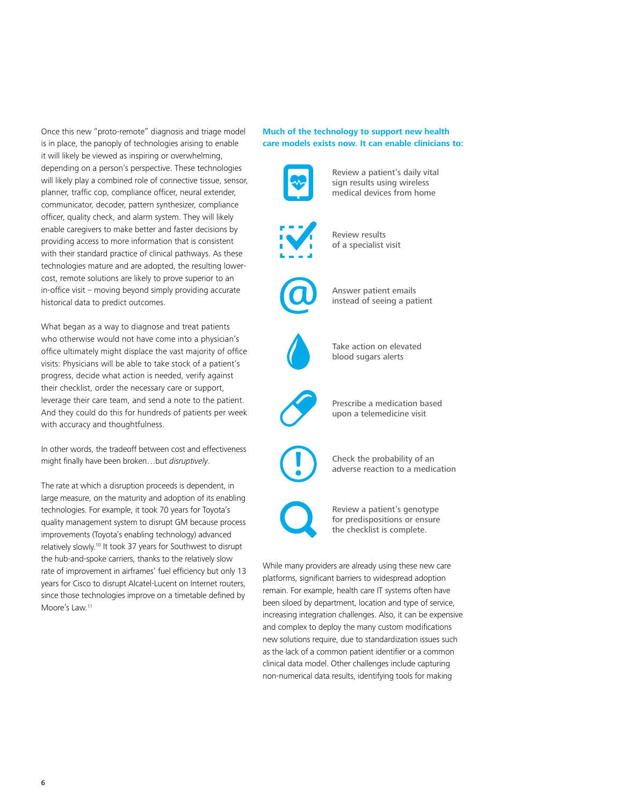Once this new "proto-remote" diagnosis and triage model is in place, the panoply of technologies arising to enable it will likely be viewed as inspiring or overwhelming, depending on a person's perspective. These technologies will likely play a combined role of connective tissue, sensor, planner, traffic cop, compliance officer, neural extender, communicator, decoder, pattern synthesizer, compliance officer, quality check, and alarm system. They will likely enable caregivers to make better and faster decisions by providing access to more information that is consistent with their standard practice of clinical pathways. As these technologies mature and are adopted, the resulting lowercost, remote solutions are likely to prove superior to an in-office visit – moving beyond simply providing accurate historical data to predict outcomes.

What began as a way to diagnose and treat patients who otherwise would not have come into a physician's office ultimately might displace the vast majority of office visits: Physicians will be able to take stock of a patient's progress, decide what action is needed, verify against their checklist, order the necessary care or support, leverage their care team, and send a note to the patient. And they could do this for hundreds of patients per week with accuracy and thoughtfulness.

In other words, the tradeoff between cost and effectiveness might finally have been broken…but *disruptively*.

The rate at which a disruption proceeds is dependent, in large measure, on the maturity and adoption of its enabling technologies. For example, it took 70 years for Toyota's quality management system to disrupt GM because process improvements (Toyota's enabling technology) advanced relatively slowly.<sup>10</sup> It took 37 years for Southwest to disrupt the hub-and-spoke carriers, thanks to the relatively slow rate of improvement in airframes' fuel efficiency but only 13 years for Cisco to disrupt Alcatel-Lucent on Internet routers, since those technologies improve on a timetable defined by Moore's Law.<sup>11</sup>

#### **Much of the technology to support new health care models exists now. It can enable clinicians to:**



remain. For example, health care IT systems often have been siloed by department, location and type of service, increasing integration challenges. Also, it can be expensive and complex to deploy the many custom modifications new solutions require, due to standardization issues such as the lack of a common patient identifier or a common clinical data model. Other challenges include capturing non-numerical data results, identifying tools for making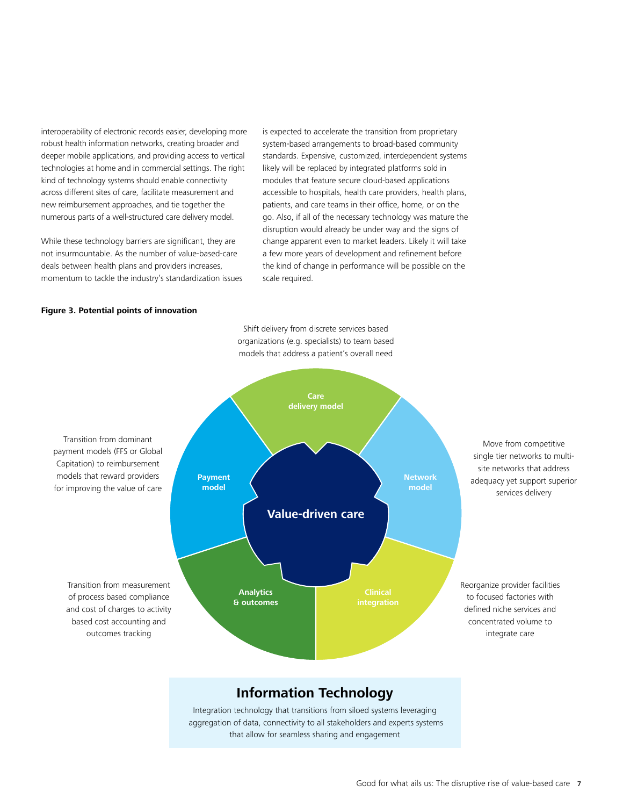interoperability of electronic records easier, developing more robust health information networks, creating broader and deeper mobile applications, and providing access to vertical technologies at home and in commercial settings. The right kind of technology systems should enable connectivity across different sites of care, facilitate measurement and new reimbursement approaches, and tie together the numerous parts of a well-structured care delivery model.

While these technology barriers are significant, they are not insurmountable. As the number of value-based-care deals between health plans and providers increases, momentum to tackle the industry's standardization issues

is expected to accelerate the transition from proprietary system-based arrangements to broad-based community standards. Expensive, customized, interdependent systems likely will be replaced by integrated platforms sold in modules that feature secure cloud-based applications accessible to hospitals, health care providers, health plans, patients, and care teams in their office, home, or on the go. Also, if all of the necessary technology was mature the disruption would already be under way and the signs of change apparent even to market leaders. Likely it will take a few more years of development and refinement before the kind of change in performance will be possible on the scale required.

#### **Figure 3. Potential points of innovation**

Transition from dominant payment models (FFS or Global Capitation) to reimbursement models that reward providers for improving the value of care Move from competitive single tier networks to multisite networks that address adequacy yet support superior services delivery Reorganize provider facilities to focused factories with defined niche services and concentrated volume to integrate care Transition from measurement of process based compliance and cost of charges to activity based cost accounting and outcomes tracking **Information Technology**  Integration technology that transitions from siloed systems leveraging aggregation of data, connectivity to all stakeholders and experts systems **Value-driven care Payment model Care delivery model Network model Analytics & outcomes**

that allow for seamless sharing and engagement

Shift delivery from discrete services based organizations (e.g. specialists) to team based models that address a patient's overall need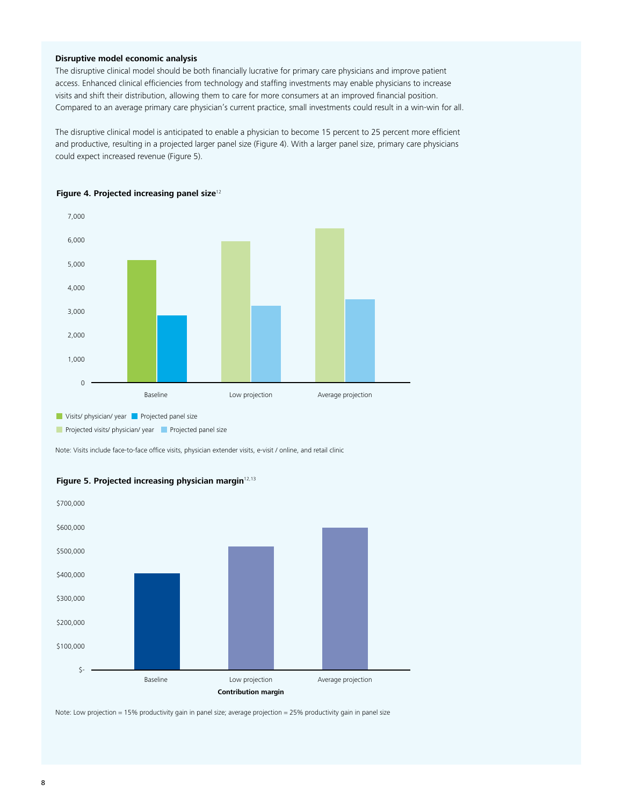#### **Disruptive model economic analysis**

The disruptive clinical model should be both financially lucrative for primary care physicians and improve patient access. Enhanced clinical efficiencies from technology and staffing investments may enable physicians to increase visits and shift their distribution, allowing them to care for more consumers at an improved financial position. Compared to an average primary care physician's current practice, small investments could result in a win-win for all.

The disruptive clinical model is anticipated to enable a physician to become 15 percent to 25 percent more efficient and productive, resulting in a projected larger panel size (Figure 4). With a larger panel size, primary care physicians could expect increased revenue (Figure 5).



**Figure 4. Projected increasing panel size**<sup>12</sup>

**Projected visits/ physician/ year Projected panel size** 

Note: Visits include face-to-face office visits, physician extender visits, e-visit / online, and retail clinic



Figure 5. Projected increasing physician margin<sup>12,13</sup>

Note: Low projection = 15% productivity gain in panel size; average projection = 25% productivity gain in panel size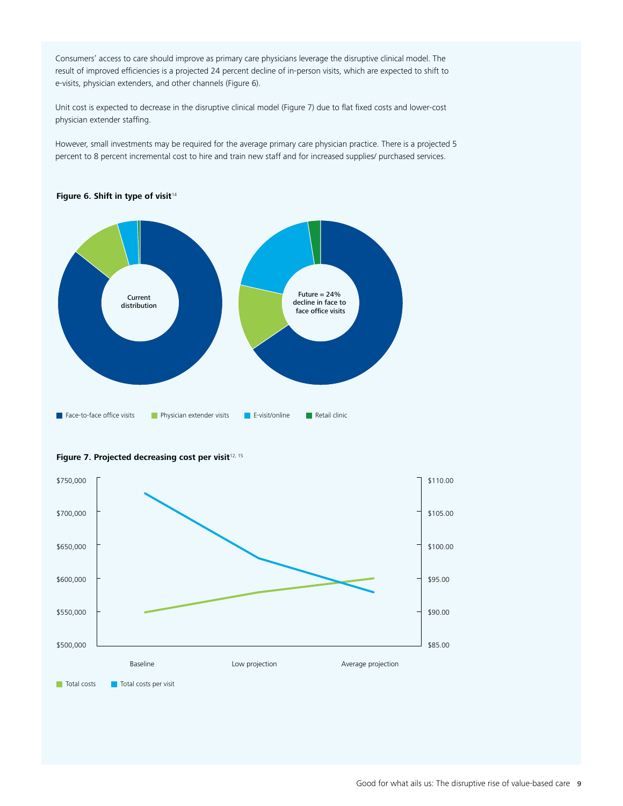Consumers' access to care should improve as primary care physicians leverage the disruptive clinical model. The result of improved efficiencies is a projected 24 percent decline of in-person visits, which are expected to shift to e-visits, physician extenders, and other channels (Figure 6).

Unit cost is expected to decrease in the disruptive clinical model (Figure 7) due to flat fixed costs and lower-cost physician extender staffing.

However, small investments may be required for the average primary care physician practice. There is a projected 5 percent to 8 percent incremental cost to hire and train new staff and for increased supplies/ purchased services.



#### Figure 6. Shift in type of visit<sup>14</sup>



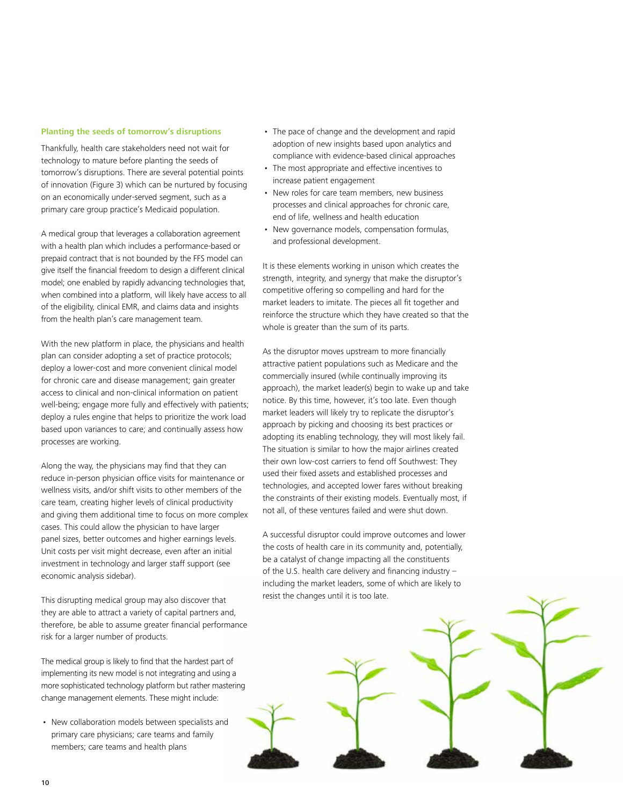#### **Planting the seeds of tomorrow's disruptions**

Thankfully, health care stakeholders need not wait for technology to mature before planting the seeds of tomorrow's disruptions. There are several potential points of innovation (Figure 3) which can be nurtured by focusing on an economically under-served segment, such as a primary care group practice's Medicaid population.

A medical group that leverages a collaboration agreement with a health plan which includes a performance-based or prepaid contract that is not bounded by the FFS model can give itself the financial freedom to design a different clinical model; one enabled by rapidly advancing technologies that, when combined into a platform, will likely have access to all of the eligibility, clinical EMR, and claims data and insights from the health plan's care management team.

With the new platform in place, the physicians and health plan can consider adopting a set of practice protocols; deploy a lower-cost and more convenient clinical model for chronic care and disease management; gain greater access to clinical and non-clinical information on patient well-being; engage more fully and effectively with patients; deploy a rules engine that helps to prioritize the work load based upon variances to care; and continually assess how processes are working.

Along the way, the physicians may find that they can reduce in-person physician office visits for maintenance or wellness visits, and/or shift visits to other members of the care team, creating higher levels of clinical productivity and giving them additional time to focus on more complex cases. This could allow the physician to have larger panel sizes, better outcomes and higher earnings levels. Unit costs per visit might decrease, even after an initial investment in technology and larger staff support (see economic analysis sidebar).

This disrupting medical group may also discover that they are able to attract a variety of capital partners and, therefore, be able to assume greater financial performance risk for a larger number of products.

The medical group is likely to find that the hardest part of implementing its new model is not integrating and using a more sophisticated technology platform but rather mastering change management elements. These might include:

• New collaboration models between specialists and primary care physicians; care teams and family members; care teams and health plans

- The pace of change and the development and rapid adoption of new insights based upon analytics and compliance with evidence-based clinical approaches
- The most appropriate and effective incentives to increase patient engagement
- New roles for care team members, new business processes and clinical approaches for chronic care, end of life, wellness and health education
- New governance models, compensation formulas, and professional development.

It is these elements working in unison which creates the strength, integrity, and synergy that make the disruptor's competitive offering so compelling and hard for the market leaders to imitate. The pieces all fit together and reinforce the structure which they have created so that the whole is greater than the sum of its parts.

As the disruptor moves upstream to more financially attractive patient populations such as Medicare and the commercially insured (while continually improving its approach), the market leader(s) begin to wake up and take notice. By this time, however, it's too late. Even though market leaders will likely try to replicate the disruptor's approach by picking and choosing its best practices or adopting its enabling technology, they will most likely fail. The situation is similar to how the major airlines created their own low-cost carriers to fend off Southwest: They used their fixed assets and established processes and technologies, and accepted lower fares without breaking the constraints of their existing models. Eventually most, if not all, of these ventures failed and were shut down.

A successful disruptor could improve outcomes and lower the costs of health care in its community and, potentially, be a catalyst of change impacting all the constituents of the U.S. health care delivery and financing industry – including the market leaders, some of which are likely to resist the changes until it is too late.

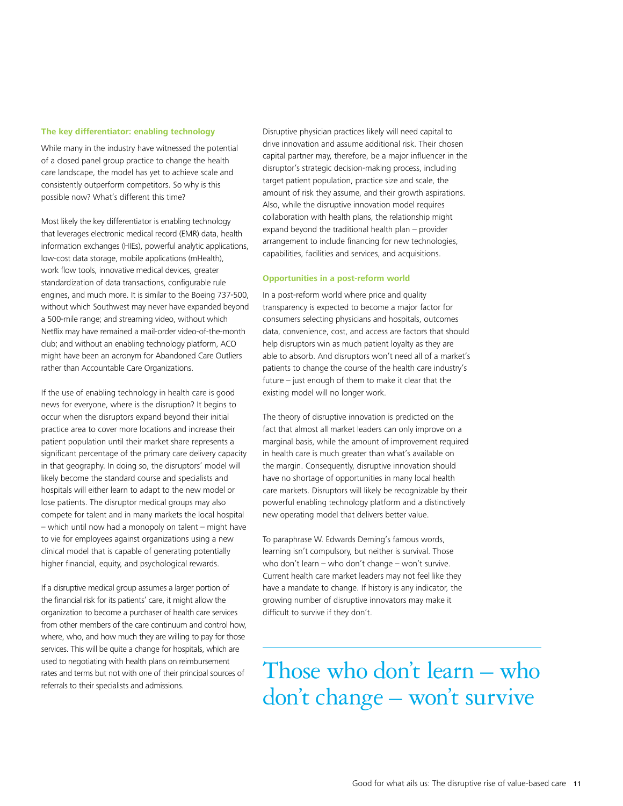#### **The key differentiator: enabling technology**

While many in the industry have witnessed the potential of a closed panel group practice to change the health care landscape, the model has yet to achieve scale and consistently outperform competitors. So why is this possible now? What's different this time?

Most likely the key differentiator is enabling technology that leverages electronic medical record (EMR) data, health information exchanges (HIEs), powerful analytic applications, low-cost data storage, mobile applications (mHealth), work flow tools, innovative medical devices, greater standardization of data transactions, configurable rule engines, and much more. It is similar to the Boeing 737-500, without which Southwest may never have expanded beyond a 500-mile range; and streaming video, without which Netflix may have remained a mail-order video-of-the-month club; and without an enabling technology platform, ACO might have been an acronym for Abandoned Care Outliers rather than Accountable Care Organizations.

If the use of enabling technology in health care is good news for everyone, where is the disruption? It begins to occur when the disruptors expand beyond their initial practice area to cover more locations and increase their patient population until their market share represents a significant percentage of the primary care delivery capacity in that geography. In doing so, the disruptors' model will likely become the standard course and specialists and hospitals will either learn to adapt to the new model or lose patients. The disruptor medical groups may also compete for talent and in many markets the local hospital – which until now had a monopoly on talent – might have to vie for employees against organizations using a new clinical model that is capable of generating potentially higher financial, equity, and psychological rewards.

If a disruptive medical group assumes a larger portion of the financial risk for its patients' care, it might allow the organization to become a purchaser of health care services from other members of the care continuum and control how, where, who, and how much they are willing to pay for those services. This will be quite a change for hospitals, which are used to negotiating with health plans on reimbursement rates and terms but not with one of their principal sources of referrals to their specialists and admissions.

Disruptive physician practices likely will need capital to drive innovation and assume additional risk. Their chosen capital partner may, therefore, be a major influencer in the disruptor's strategic decision-making process, including target patient population, practice size and scale, the amount of risk they assume, and their growth aspirations. Also, while the disruptive innovation model requires collaboration with health plans, the relationship might expand beyond the traditional health plan – provider arrangement to include financing for new technologies, capabilities, facilities and services, and acquisitions.

#### **Opportunities in a post-reform world**

In a post-reform world where price and quality transparency is expected to become a major factor for consumers selecting physicians and hospitals, outcomes data, convenience, cost, and access are factors that should help disruptors win as much patient loyalty as they are able to absorb. And disruptors won't need all of a market's patients to change the course of the health care industry's future – just enough of them to make it clear that the existing model will no longer work.

The theory of disruptive innovation is predicted on the fact that almost all market leaders can only improve on a marginal basis, while the amount of improvement required in health care is much greater than what's available on the margin. Consequently, disruptive innovation should have no shortage of opportunities in many local health care markets. Disruptors will likely be recognizable by their powerful enabling technology platform and a distinctively new operating model that delivers better value.

To paraphrase W. Edwards Deming's famous words, learning isn't compulsory, but neither is survival. Those who don't learn – who don't change – won't survive. Current health care market leaders may not feel like they have a mandate to change. If history is any indicator, the growing number of disruptive innovators may make it difficult to survive if they don't.

Those who don't learn – who don't change – won't survive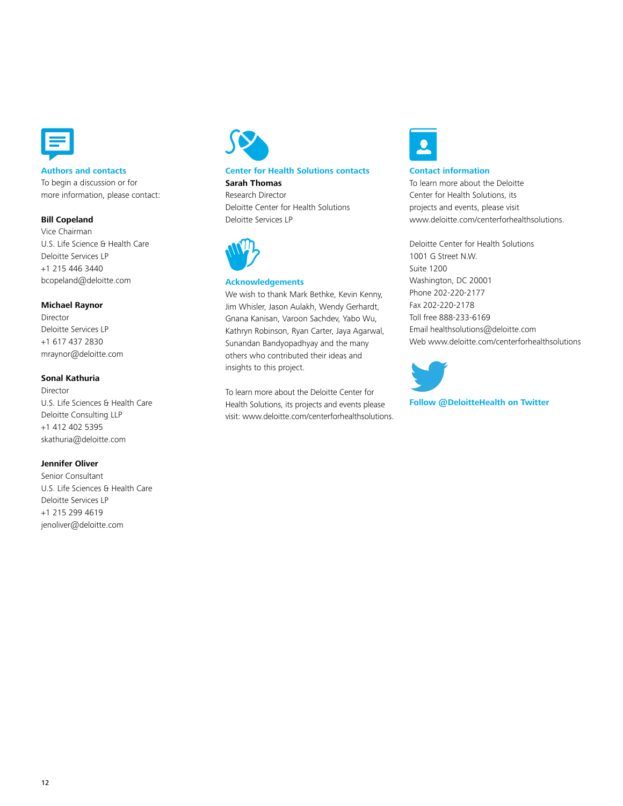

#### **Authors and contacts**

To begin a discussion or for more information, please contact:

#### **Bill Copeland**

Vice Chairman U.S. Life Science & Health Care Deloitte Services LP +1 215 446 3440 bcopeland@deloitte.com

#### **Michael Raynor**

Director Deloitte Services LP +1 617 437 2830 mraynor@deloitte.com

#### **Sonal Kathuria**

Director U.S. Life Sciences & Health Care Deloitte Consulting LLP +1 412 402 5395 skathuria@deloitte.com

#### **Jennifer Oliver**

Senior Consultant U.S. Life Sciences & Health Care Deloitte Services LP +1 215 299 4619 jenoliver@deloitte.com



#### **Center for Health Solutions contacts Sarah Thomas**

Research Director Deloitte Center for Health Solutions Deloitte Services LP



#### **Acknowledgements**

We wish to thank Mark Bethke, Kevin Kenny, Jim Whisler, Jason Aulakh, Wendy Gerhardt, Gnana Kanisan, Varoon Sachdev, Yabo Wu, Kathryn Robinson, Ryan Carter, Jaya Agarwal, Sunandan Bandyopadhyay and the many others who contributed their ideas and insights to this project.

To learn more about the Deloitte Center for Health Solutions, its projects and events please visit: www.deloitte.com/centerforhealthsolutions.



#### **Contact information**

To learn more about the Deloitte Center for Health Solutions, its projects and events, please visit www.deloitte.com/centerforhealthsolutions.

Deloitte Center for Health Solutions 1001 G Street N.W. Suite 1200 Washington, DC 20001 Phone 202-220-2177 Fax 202-220-2178 Toll free 888-233-6169 Email healthsolutions@deloitte.com Web www.deloitte.com/centerforhealthsolutions



**Follow @DeloitteHealth on Twitter**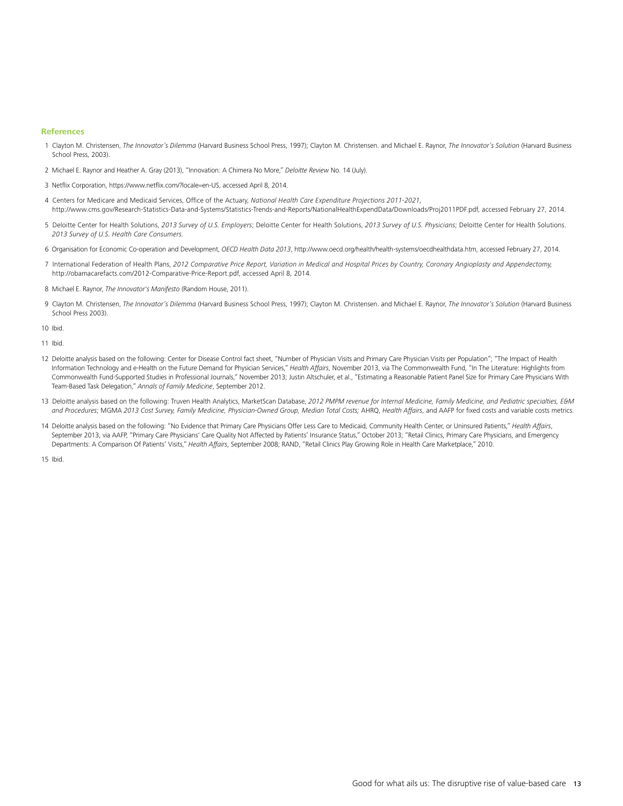#### **References**

- 1 Clayton M. Christensen, *The Innovator's Dilemma* (Harvard Business School Press, 1997); Clayton M. Christensen. and Michael E. Raynor, *The Innovator's Solution* (Harvard Business School Press, 2003).
- 2 Michael E. Raynor and Heather A. Gray (2013), "Innovation: A Chimera No More," *Deloitte Review* No. 14 (July).
- 3 Netflix Corporation, https://www.netflix.com/?locale=en-US, accessed April 8, 2014.
- 4 Centers for Medicare and Medicaid Services, Office of the Actuary, *National Health Care Expenditure Projections 2011-2021,*  http://www.cms.gov/Research-Statistics-Data-and-Systems/Statistics-Trends-and-Reports/NationalHealthExpendData/Downloads/Proj2011PDF.pdf, accessed February 27, 2014.
- 5 Deloitte Center for Health Solutions, *2013 Survey of U.S. Employers*; Deloitte Center for Health Solutions, *2013 Survey of U.S. Physicians*; Deloitte Center for Health Solutions. *2013 Survey of U.S. Health Care Consumers.*
- 6 Organisation for Economic Co-operation and Development, *OECD Health Data 2013*, http://www.oecd.org/health/health-systems/oecdhealthdata.htm, accessed February 27, 2014.
- 7 International Federation of Health Plans, *2012 Comparative Price Report, Variation in Medical and Hospital Prices by Country, Coronary Angioplasty and Appendectomy,* http://obamacarefacts.com/2012-Comparative-Price-Report.pdf, accessed April 8, 2014.
- 8 Michael E. Raynor, *The Innovator's Manifesto* (Random House, 2011).
- 9 Clayton M. Christensen, *The Innovator's Dilemma* (Harvard Business School Press, 1997); Clayton M. Christensen. and Michael E. Raynor, *The Innovator's Solution* (Harvard Business School Press 2003).

10 Ibid.

11 Ibid.

- 12 Deloitte analysis based on the following: Center for Disease Control fact sheet, "Number of Physician Visits and Primary Care Physician Visits per Population"; "The Impact of Health Information Technology and e-Health on the Future Demand for Physician Services," *Health Affairs*, November 2013, via The Commonwealth Fund, "In The Literature: Highlights from Commonwealth Fund-Supported Studies in Professional Journals," November 2013; Justin Altschuler, et al., "Estimating a Reasonable Patient Panel Size for Primary Care Physicians With Team-Based Task Delegation," *Annals of Family Medicine*, September 2012.
- 13 Deloitte analysis based on the following: Truven Health Analytics, MarketScan Database, *2012 PMPM revenue for Internal Medicine, Family Medicine, and Pediatric specialties, E&M and Procedures*; MGMA *2013 Cost Survey, Family Medicine, Physician-Owned Group, Median Total Costs;* AHRQ, *Health Affairs*, and AAFP for fixed costs and variable costs metrics.
- 14 Deloitte analysis based on the following: "No Evidence that Primary Care Physicians Offer Less Care to Medicaid, Community Health Center, or Uninsured Patients," *Health Affairs*, September 2013, via AAFP, "Primary Care Physicians' Care Quality Not Affected by Patients' Insurance Status," October 2013; "Retail Clinics, Primary Care Physicians, and Emergency Departments: A Comparison Of Patients' Visits," *Health Affairs*, September 2008; RAND, "Retail Clinics Play Growing Role in Health Care Marketplace," 2010.

15 Ibid.